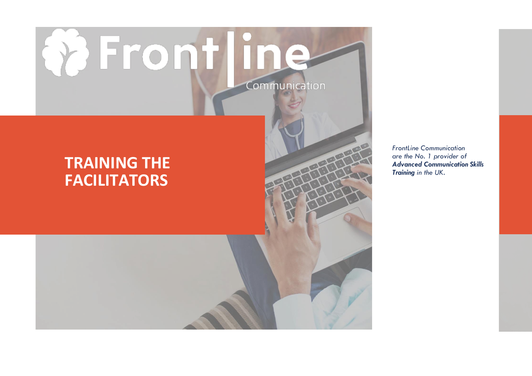# **Q** Frontline Communication

### **TRAINING THE FACILITATORS**

*FrontLine Communication are the No. 1 provider of Advanced Communication Skills Training in the UK.*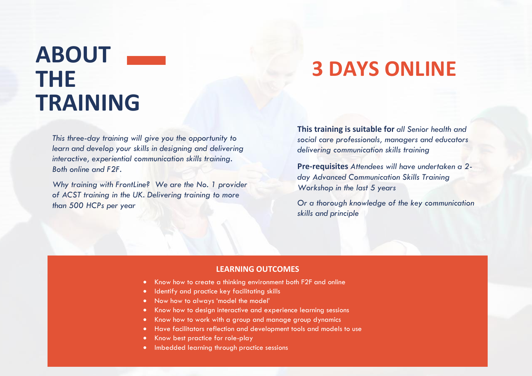# **ABOUT THE TRAINING**

### **3 DAYS ONLINE**

*This three-day training will give you the opportunity to learn and develop your skills in designing and delivering interactive, experiential communication skills training. Both online and F2F.*

*Why training with FrontLine? We are the No. 1 provider of ACST training in the UK. Delivering training to more than 500 HCPs per year*

**This training is suitable for** *all Senior health and social care professionals, managers and educators delivering communication skills training* 

**Pre-requisites** *Attendees will have undertaken a 2 day Advanced Communication Skills Training Workshop in the last 5 years*

*Or a thorough knowledge of the key communication skills and principle*

#### **LEARNING OUTCOMES**

- Know how to create a thinking environment both F2F and online
- Identify and practice key facilitating skills
- Now how to always 'model the model'
- Know how to design interactive and experience learning sessions
- Know how to work with a group and manage group dynamics
- Have facilitators reflection and development tools and models to use
- Know best practice for role-play
- Imbedded learning through practice sessions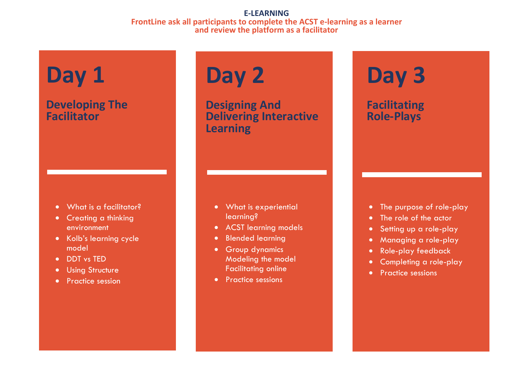#### **E-LEARNING FrontLine ask all participants to complete the ACST e-learning as a learner and review the platform as a facilitator**

# **Day 1**

### **Developing The Facilitator**

- What is a facilitator?
- Creating a thinking environment
- Kolb's learning cycle model
- DDT vs TED
- Using Structure
- Practice session

# **Day 2**

**Designing And Delivering Interactive Learning** 

- What is experiential learning?
- ACST learning models
- Blended learning
- Group dynamics Modeling the model Facilitating online
- Practice sessions

# **Day 3**

**Facilitating Role-Plays**

- The purpose of role-play
- The role of the actor
- Setting up a role-play
- Managing a role-play
- Role-play feedback
- Completing a role-play
- Practice sessions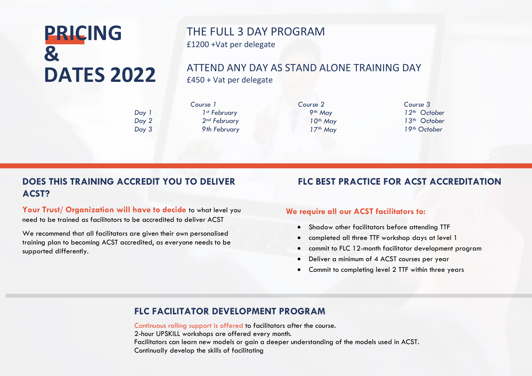### **PRICING & DATES 2022**

### THE FULL 3 DAY PROGRAM £1200 +Vat per delegate

### ATTEND ANY DAY AS STAND ALONE TRAINING DAY

£450 + Vat per delegate

*Day 1 Day 2 Day 3* *Course 1 1st February 2nd February 9th February* *Course 2 9th May 10th May 17th May*

*Course 3 th October th October th October*

### **DOES THIS TRAINING ACCREDIT YOU TO DELIVER ACST?**

Your Trust/ Organization will have to decide to what level you need to be trained as facilitators to be accredited to deliver ACST

We recommend that all facilitators are given their own personalised training plan to becoming ACST accredited, as everyone needs to be supported differently.

#### **FLC BEST PRACTICE FOR ACST ACCREDITATION**

#### **We require all our ACST facilitators to:**

- Shadow other facilitators before attending TTF
- completed all three TTF workshop days at level 1
- commit to FLC 12-month facilitator development program
- Deliver a minimum of 4 ACST courses per year
- Commit to completing level 2 TTF within three years

#### **FLC FACILITATOR DEVELOPMENT PROGRAM**

Continuous rolling support is offered to facilitators after the course. 2-hour UPSKILL workshops are offered every month. Facilitators can learn new models or gain a deeper understanding of the models used in ACST. Continually develop the skills of facilitating